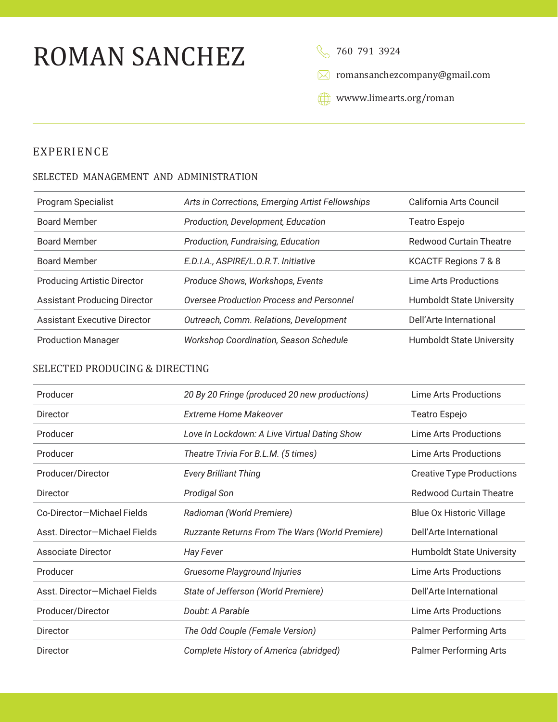# ROMAN SANCHEZ

8 760 791 3924

[romansanchezcompany@gmail.com](mailto:romansanchezcompany@gmail.com)

www.limearts.org/roman

# EXPERIENCE

#### SELECTED MANAGEMENT AND ADMINISTRATION

| <b>Program Specialist</b>           | Arts in Corrections, Emerging Artist Fellowships | California Arts Council          |
|-------------------------------------|--------------------------------------------------|----------------------------------|
| <b>Board Member</b>                 | Production, Development, Education               | Teatro Espejo                    |
| <b>Board Member</b>                 | Production, Fundraising, Education               | <b>Redwood Curtain Theatre</b>   |
| <b>Board Member</b>                 | E.D.I.A., ASPIRE/L.O.R.T. Initiative             | KCACTF Regions 7 & 8             |
| <b>Producing Artistic Director</b>  | Produce Shows, Workshops, Events                 | Lime Arts Productions            |
| <b>Assistant Producing Director</b> | Oversee Production Process and Personnel         | <b>Humboldt State University</b> |
| <b>Assistant Executive Director</b> | Outreach, Comm. Relations, Development           | Dell'Arte International          |
| <b>Production Manager</b>           | <b>Workshop Coordination, Season Schedule</b>    | <b>Humboldt State University</b> |

#### SELECTED PRODUCING & DIRECTING

| Producer                      | 20 By 20 Fringe (produced 20 new productions)   | Lime Arts Productions            |
|-------------------------------|-------------------------------------------------|----------------------------------|
| Director                      | <b>Extreme Home Makeover</b>                    | Teatro Espejo                    |
| Producer                      | Love In Lockdown: A Live Virtual Dating Show    | Lime Arts Productions            |
| Producer                      | Theatre Trivia For B.L.M. (5 times)             | Lime Arts Productions            |
| Producer/Director             | <b>Every Brilliant Thing</b>                    | <b>Creative Type Productions</b> |
| Director                      | Prodigal Son                                    | <b>Redwood Curtain Theatre</b>   |
| Co-Director-Michael Fields    | Radioman (World Premiere)                       | <b>Blue Ox Historic Village</b>  |
| Asst. Director-Michael Fields | Ruzzante Returns From The Wars (World Premiere) | Dell'Arte International          |
| Associate Director            | <b>Hay Fever</b>                                | <b>Humboldt State University</b> |
| Producer                      | Gruesome Playground Injuries                    | Lime Arts Productions            |
| Asst. Director-Michael Fields | State of Jefferson (World Premiere)             | Dell'Arte International          |
| Producer/Director             | Doubt: A Parable                                | Lime Arts Productions            |
| Director                      | The Odd Couple (Female Version)                 | <b>Palmer Performing Arts</b>    |
| Director                      | Complete History of America (abridged)          | <b>Palmer Performing Arts</b>    |